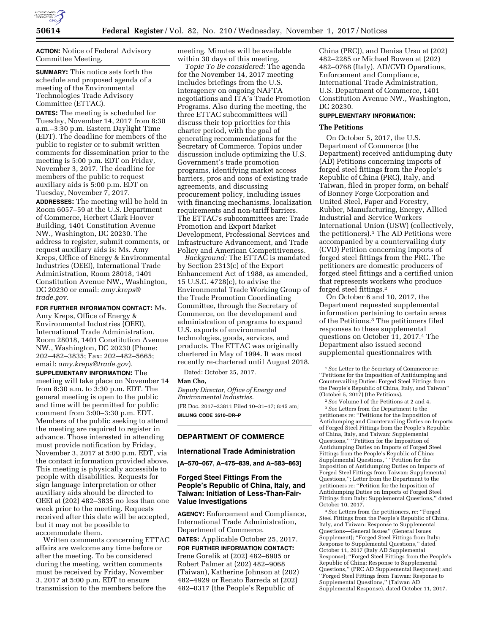

**ACTION:** Notice of Federal Advisory Committee Meeting.

**SUMMARY:** This notice sets forth the schedule and proposed agenda of a meeting of the Environmental Technologies Trade Advisory Committee (ETTAC).

**DATES:** The meeting is scheduled for Tuesday, November 14, 2017 from 8:30 a.m.–3:30 p.m. Eastern Daylight Time (EDT). The deadline for members of the public to register or to submit written comments for dissemination prior to the meeting is 5:00 p.m. EDT on Friday, November 3, 2017. The deadline for members of the public to request auxiliary aids is 5:00 p.m. EDT on Tuesday, November 7, 2017.

**ADDRESSES:** The meeting will be held in Room 6057–59 at the U.S. Department of Commerce, Herbert Clark Hoover Building, 1401 Constitution Avenue NW., Washington, DC 20230. The address to register, submit comments, or request auxiliary aids is: Ms. Amy Kreps, Office of Energy & Environmental Industries (OEEI), International Trade Administration, Room 28018, 1401 Constitution Avenue NW., Washington, DC 20230 or email: *[amy.kreps@](mailto:amy.kreps@trade.gov) [trade.gov](mailto:amy.kreps@trade.gov)*.

**FOR FURTHER INFORMATION CONTACT:** Ms. Amy Kreps, Office of Energy & Environmental Industries (OEEI), International Trade Administration, Room 28018, 1401 Constitution Avenue NW., Washington, DC 20230 (Phone: 202–482–3835; Fax: 202–482–5665; email: *[amy.kreps@trade.gov](mailto:amy.kreps@trade.gov)*).

**SUPPLEMENTARY INFORMATION:** The meeting will take place on November 14 from 8:30 a.m. to 3:30 p.m. EDT. The general meeting is open to the public and time will be permitted for public comment from 3:00–3:30 p.m. EDT. Members of the public seeking to attend the meeting are required to register in advance. Those interested in attending must provide notification by Friday, November 3, 2017 at 5:00 p.m. EDT, via the contact information provided above. This meeting is physically accessible to people with disabilities. Requests for sign language interpretation or other auxiliary aids should be directed to OEEI at (202) 482–3835 no less than one week prior to the meeting. Requests received after this date will be accepted, but it may not be possible to accommodate them.

Written comments concerning ETTAC affairs are welcome any time before or after the meeting. To be considered during the meeting, written comments must be received by Friday, November 3, 2017 at 5:00 p.m. EDT to ensure transmission to the members before the

meeting. Minutes will be available within 30 days of this meeting.

*Topic To Be considered:* The agenda for the November 14, 2017 meeting includes briefings from the U.S. interagency on ongoing NAFTA negotiations and ITA's Trade Promotion Programs. Also during the meeting, the three ETTAC subcommittees will discuss their top priorities for this charter period, with the goal of generating recommendations for the Secretary of Commerce. Topics under discussion include optimizing the U.S. Government's trade promotion programs, identifying market access barriers, pros and cons of existing trade agreements, and discussing procurement policy, including issues with financing mechanisms, localization requirements and non-tariff barriers. The ETTAC's subcommittees are: Trade Promotion and Export Market Development, Professional Services and Infrastructure Advancement, and Trade Policy and American Competitiveness.

*Background:* The ETTAC is mandated by Section 2313(c) of the Export Enhancement Act of 1988, as amended, 15 U.S.C. 4728(c), to advise the Environmental Trade Working Group of the Trade Promotion Coordinating Committee, through the Secretary of Commerce, on the development and administration of programs to expand U.S. exports of environmental technologies, goods, services, and products. The ETTAC was originally chartered in May of 1994. It was most recently re-chartered until August 2018.

Dated: October 25, 2017.

### **Man Cho,**

*Deputy Director, Office of Energy and Environmental Industries.*  [FR Doc. 2017–23811 Filed 10–31–17; 8:45 am] **BILLING CODE 3510–DR–P** 

## **DEPARTMENT OF COMMERCE**

### **International Trade Administration**

**[A–570–067, A–475–839, and A–583–863]** 

## **Forged Steel Fittings From the People's Republic of China, Italy, and Taiwan: Initiation of Less-Than-Fair-Value Investigations**

**AGENCY:** Enforcement and Compliance, International Trade Administration, Department of Commerce.

**DATES:** Applicable October 25, 2017.

**FOR FURTHER INFORMATION CONTACT:**  Irene Gorelik at (202) 482–6905 or Robert Palmer at (202) 482–9068 (Taiwan), Katherine Johnson at (202) 482–4929 or Renato Barreda at (202) 482–0317 (the People's Republic of

China (PRC)), and Denisa Ursu at (202) 482–2285 or Michael Bowen at (202) 482–0768 (Italy), AD/CVD Operations, Enforcement and Compliance, International Trade Administration, U.S. Department of Commerce, 1401 Constitution Avenue NW., Washington, DC 20230.

### **SUPPLEMENTARY INFORMATION:**

#### **The Petitions**

On October 5, 2017, the U.S. Department of Commerce (the Department) received antidumping duty (AD) Petitions concerning imports of forged steel fittings from the People's Republic of China (PRC), Italy, and Taiwan, filed in proper form, on behalf of Bonney Forge Corporation and United Steel, Paper and Forestry, Rubber, Manufacturing, Energy, Allied Industrial and Service Workers International Union (USW) (collectively, the petitioners).1 The AD Petitions were accompanied by a countervailing duty (CVD) Petition concerning imports of forged steel fittings from the PRC. The petitioners are domestic producers of forged steel fittings and a certified union that represents workers who produce forged steel fittings.2

On October 6 and 10, 2017, the Department requested supplemental information pertaining to certain areas of the Petitions.3 The petitioners filed responses to these supplemental questions on October 11, 2017.4 The Department also issued second supplemental questionnaires with

2*See* Volume I of the Petitions at 2 and 4. 3*See* Letters from the Department to the petitioners re: ''Petitions for the Imposition of Antidumping and Countervailing Duties on Imports of Forged Steel Fittings from the People's Republic of China, Italy, and Taiwan: Supplemental Questions,'' ''Petition for the Imposition of Antidumping Duties on Imports of Forged Steel Fittings from the People's Republic of China: Supplemental Questions,'' ''Petition for the Imposition of Antidumping Duties on Imports of Forged Steel Fittings from Taiwan: Supplemental Questions,''; Letter from the Department to the petitioners re: ''Petition for the Imposition of Antidumping Duties on Imports of Forged Steel Fittings from Italy: Supplemental Questions,'' dated October 10, 2017.

4*See* Letters from the petitioners, re: ''Forged Steel Fittings from the People's Republic of China, Italy, and Taiwan: Response to Supplemental Questions—General Issues'' (General Issues Supplement); ''Forged Steel Fittings from Italy: Response to Supplemental Questions,'' dated October 11, 2017 (Italy AD Supplemental Response); ''Forged Steel Fittings from the People's Republic of China: Response to Supplemental Questions,'' (PRC AD Supplemental Response); and ''Forged Steel Fittings from Taiwan: Response to Supplemental Questions,'' (Taiwan AD Supplemental Response), dated October 11, 2017.

<sup>1</sup>*See* Letter to the Secretary of Commerce re: ''Petitions for the Imposition of Antidumping and Countervailing Duties: Forged Steel Fittings from the People's Republic of China, Italy, and Taiwan'' (October 5, 2017) (the Petitions).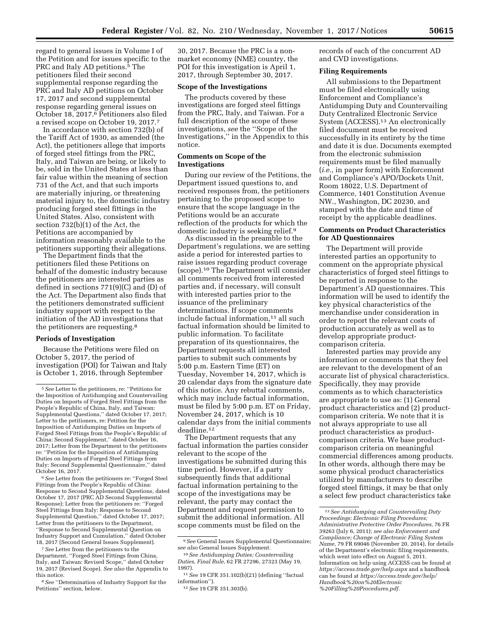regard to general issues in Volume I of the Petition and for issues specific to the PRC and Italy AD petitions.5 The petitioners filed their second supplemental response regarding the PRC and Italy AD petitions on October 17, 2017 and second supplemental response regarding general issues on October 18, 2017.6 Petitioners also filed a revised scope on October 19, 2017.7

In accordance with section 732(b) of the Tariff Act of 1930, as amended (the Act), the petitioners allege that imports of forged steel fittings from the PRC, Italy, and Taiwan are being, or likely to be, sold in the United States at less than fair value within the meaning of section 731 of the Act, and that such imports are materially injuring, or threatening material injury to, the domestic industry producing forged steel fittings in the United States. Also, consistent with section 732(b)(1) of the Act, the Petitions are accompanied by information reasonably available to the petitioners supporting their allegations.

The Department finds that the petitioners filed these Petitions on behalf of the domestic industry because the petitioners are interested parties as defined in sections 771(9)(C) and (D) of the Act. The Department also finds that the petitioners demonstrated sufficient industry support with respect to the initiation of the AD investigations that the petitioners are requesting.8

#### **Periods of Investigation**

Because the Petitions were filed on October 5, 2017, the period of investigation (POI) for Taiwan and Italy is October 1, 2016, through September

6*See* Letter from the petitioners re: ''Forged Steel Fittings from the People's Republic of China: Response to Second Supplemental Questions, dated October 17, 2017 (PRC AD Second Supplemental Response); Letter from the petitioners re: ''Forged Steel Fittings from Italy: Response to Second Supplemental Question,'' dated October 17, 2017; Letter from the petitioners to the Department, ''Response to Second Supplemental Question on Industry Support and Cumulation,'' dated October 18, 2017 (Second General Issues Supplement).

7*See* Letter from the petitioners to the Department, ''Forged Steel Fittings from China, Italy, and Taiwan: Revised Scope,'' dated October 19, 2017 (Revised Scope). *See also* the Appendix to this notice.

8*See* ''Determination of Industry Support for the Petitions'' section, below.

30, 2017. Because the PRC is a nonmarket economy (NME) country, the POI for this investigation is April 1, 2017, through September 30, 2017.

#### **Scope of the Investigations**

The products covered by these investigations are forged steel fittings from the PRC, Italy, and Taiwan. For a full description of the scope of these investigations, *see* the ''Scope of the Investigations,'' in the Appendix to this notice.

## **Comments on Scope of the Investigations**

During our review of the Petitions, the Department issued questions to, and received responses from, the petitioners pertaining to the proposed scope to ensure that the scope language in the Petitions would be an accurate reflection of the products for which the domestic industry is seeking relief.9

As discussed in the preamble to the Department's regulations, we are setting aside a period for interested parties to raise issues regarding product coverage (scope).10 The Department will consider all comments received from interested parties and, if necessary, will consult with interested parties prior to the issuance of the preliminary determinations. If scope comments include factual information,<sup>11</sup> all such factual information should be limited to public information. To facilitate preparation of its questionnaires, the Department requests all interested parties to submit such comments by 5:00 p.m. Eastern Time (ET) on Tuesday, November 14, 2017, which is 20 calendar days from the signature date of this notice. Any rebuttal comments, which may include factual information, must be filed by 5:00 p.m. ET on Friday, November 24, 2017, which is 10 calendar days from the initial comments deadline.12

The Department requests that any factual information the parties consider relevant to the scope of the investigations be submitted during this time period. However, if a party subsequently finds that additional factual information pertaining to the scope of the investigations may be relevant, the party may contact the Department and request permission to submit the additional information. All scope comments must be filed on the

records of each of the concurrent AD and CVD investigations.

## **Filing Requirements**

All submissions to the Department must be filed electronically using Enforcement and Compliance's Antidumping Duty and Countervailing Duty Centralized Electronic Service System (ACCESS).13 An electronically filed document must be received successfully in its entirety by the time and date it is due. Documents exempted from the electronic submission requirements must be filed manually (*i.e.,* in paper form) with Enforcement and Compliance's APO/Dockets Unit, Room 18022, U.S. Department of Commerce, 1401 Constitution Avenue NW., Washington, DC 20230, and stamped with the date and time of receipt by the applicable deadlines.

## **Comments on Product Characteristics for AD Questionnaires**

The Department will provide interested parties an opportunity to comment on the appropriate physical characteristics of forged steel fittings to be reported in response to the Department's AD questionnaires. This information will be used to identify the key physical characteristics of the merchandise under consideration in order to report the relevant costs of production accurately as well as to develop appropriate productcomparison criteria.

Interested parties may provide any information or comments that they feel are relevant to the development of an accurate list of physical characteristics. Specifically, they may provide comments as to which characteristics are appropriate to use as: (1) General product characteristics and (2) productcomparison criteria. We note that it is not always appropriate to use all product characteristics as productcomparison criteria. We base productcomparison criteria on meaningful commercial differences among products. In other words, although there may be some physical product characteristics utilized by manufacturers to describe forged steel fittings, it may be that only a select few product characteristics take

<sup>5</sup>*See* Letter to the petitioners, re: ''Petitions for the Imposition of Antidumping and Countervailing Duties on Imports of Forged Steel Fittings from the People's Republic of China, Italy, and Taiwan: Supplemental Questions,'' dated October 17, 2017; Letter to the petitioners, re: Petition for the Imposition of Antidumping Duties on Imports of Forged Steel Fittings from the People's Republic of China: Second Supplement,'' dated October 16, 2017; Letter from the Department to the petitioners re: ''Petition for the Imposition of Antidumping Duties on Imports of Forged Steel Fittings from Italy: Second Supplemental Questionnaire,'' dated October 16, 2017.

<sup>9</sup>*See* General Issues Supplemental Questionnaire; *see also* General Issues Supplement.

<sup>10</sup>*See Antidumping Duties; Countervailing Duties, Final Rule,* 62 FR 27296, 27323 (May 19, 1997).

<sup>11</sup>*See* 19 CFR 351.102(b)(21) (defining ''factual information'').

<sup>12</sup>*See* 19 CFR 351.303(b).

<sup>13</sup>*See Antidumping and Countervailing Duty Proceedings: Electronic Filing Procedures; Administrative Protective Order Procedures,* 76 FR 39263 (July 6, 2011); *see also Enforcement and Compliance; Change of Electronic Filing System Name,* 79 FR 69046 (November 20, 2014), for details of the Department's electronic filing requirements, which went into effect on August 5, 2011. Information on help using ACCESS can be found at *<https://access.trade.gov/help.aspx>* and a handbook can be found at *[https://access.trade.gov/help/](https://access.trade.gov/help/Handbook%20on%20Electronic%20Filling%20Procedures.pdf)  [Handbook%20on%20Electronic](https://access.trade.gov/help/Handbook%20on%20Electronic%20Filling%20Procedures.pdf) [%20Filling%20Procedures.pdf.](https://access.trade.gov/help/Handbook%20on%20Electronic%20Filling%20Procedures.pdf)*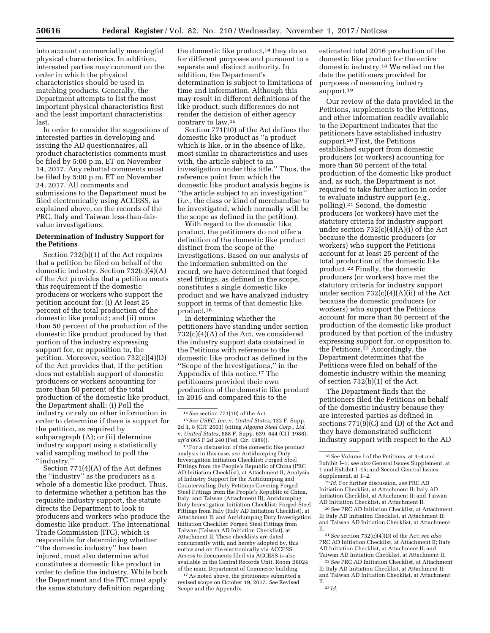into account commercially meaningful physical characteristics. In addition, interested parties may comment on the order in which the physical characteristics should be used in matching products. Generally, the Department attempts to list the most important physical characteristics first and the least important characteristics last.

In order to consider the suggestions of interested parties in developing and issuing the AD questionnaires, all product characteristics comments must be filed by 5:00 p.m. ET on November 14, 2017. Any rebuttal comments must be filed by 5:00 p.m. ET on November 24, 2017. All comments and submissions to the Department must be filed electronically using ACCESS, as explained above, on the records of the PRC, Italy and Taiwan less-than-fairvalue investigations.

## **Determination of Industry Support for the Petitions**

Section 732(b)(1) of the Act requires that a petition be filed on behalf of the domestic industry. Section 732(c)(4)(A) of the Act provides that a petition meets this requirement if the domestic producers or workers who support the petition account for: (i) At least 25 percent of the total production of the domestic like product; and (ii) more than 50 percent of the production of the domestic like product produced by that portion of the industry expressing support for, or opposition to, the petition. Moreover, section 732(c)(4)(D) of the Act provides that, if the petition does not establish support of domestic producers or workers accounting for more than 50 percent of the total production of the domestic like product, the Department shall: (i) Poll the industry or rely on other information in order to determine if there is support for the petition, as required by subparagraph (A); or (ii) determine industry support using a statistically valid sampling method to poll the ''industry.''

Section 771(4)(A) of the Act defines the ''industry'' as the producers as a whole of a domestic like product. Thus, to determine whether a petition has the requisite industry support, the statute directs the Department to look to producers and workers who produce the domestic like product. The International Trade Commission (ITC), which is responsible for determining whether ''the domestic industry'' has been injured, must also determine what constitutes a domestic like product in order to define the industry. While both the Department and the ITC must apply the same statutory definition regarding

the domestic like product,<sup>14</sup> they do so for different purposes and pursuant to a separate and distinct authority. In addition, the Department's determination is subject to limitations of time and information. Although this may result in different definitions of the like product, such differences do not render the decision of either agency contrary to law.15

Section 771(10) of the Act defines the domestic like product as ''a product which is like, or in the absence of like, most similar in characteristics and uses with, the article subject to an investigation under this title.'' Thus, the reference point from which the domestic like product analysis begins is ''the article subject to an investigation'' (*i.e.,* the class or kind of merchandise to be investigated, which normally will be the scope as defined in the petition).

With regard to the domestic like product, the petitioners do not offer a definition of the domestic like product distinct from the scope of the investigations. Based on our analysis of the information submitted on the record, we have determined that forged steel fittings, as defined in the scope, constitutes a single domestic like product and we have analyzed industry support in terms of that domestic like product.16

In determining whether the petitioners have standing under section 732(c)(4)(A) of the Act, we considered the industry support data contained in the Petitions with reference to the domestic like product as defined in the ''Scope of the Investigations,'' in the Appendix of this notice.17 The petitioners provided their own production of the domestic like product in 2016 and compared this to the

 $^{16}\mathrm{For}$  a discussion of the domestic like product analysis in this case, *see* Antidumping Duty Investigation Initiation Checklist: Forged Steel Fittings from the People's Republic of China (PRC AD Initiation Checklist), at Attachment II, Analysis of Industry Support for the Antidumping and Countervailing Duty Petitions Covering Forged Steel Fittings from the People's Republic of China, Italy, and Taiwan (Attachment II); Antidumping Duty Investigation Initiation Checklist: Forged Steel Fittings from Italy (Italy AD Initiation Checklist), at Attachment II; and Antidumping Duty Investigation Initiation Checklist: Forged Steel Fittings from Taiwan (Taiwan AD Initiation Checklist), at Attachment II. These checklists are dated concurrently with, and hereby adopted by, this notice and on file electronically via ACCESS. Access to documents filed via ACCESS is also available in the Central Records Unit, Room B8024 of the main Department of Commerce building.

17As noted above, the petitioners submitted a revised scope on October 19, 2017. *See* Revised Scope and the Appendix.

estimated total 2016 production of the domestic like product for the entire domestic industry.18 We relied on the data the petitioners provided for purposes of measuring industry support.19

Our review of the data provided in the Petitions, supplements to the Petitions, and other information readily available to the Department indicates that the petitioners have established industry support.20 First, the Petitions established support from domestic producers (or workers) accounting for more than 50 percent of the total production of the domestic like product and, as such, the Department is not required to take further action in order to evaluate industry support (*e.g.,*  polling).21 Second, the domestic producers (or workers) have met the statutory criteria for industry support under section  $732(c)(4)(A)(i)$  of the Act because the domestic producers (or workers) who support the Petitions account for at least 25 percent of the total production of the domestic like product.22 Finally, the domestic producers (or workers) have met the statutory criteria for industry support under section  $732(c)(4)(A)(ii)$  of the Act because the domestic producers (or workers) who support the Petitions account for more than 50 percent of the production of the domestic like product produced by that portion of the industry expressing support for, or opposition to, the Petitions.23 Accordingly, the Department determines that the Petitions were filed on behalf of the domestic industry within the meaning of section 732(b)(1) of the Act.

The Department finds that the petitioners filed the Petitions on behalf of the domestic industry because they are interested parties as defined in sections 771(9)(C) and (D) of the Act and they have demonstrated sufficient industry support with respect to the AD

19 *Id.* For further discussion, *see* PRC AD Initiation Checklist, at Attachment II; Italy AD Initiation Checklist, at Attachment II; and Taiwan AD Initiation Checklist, at Attachment II.

20*See* PRC AD Initiation Checklist, at Attachment II; Italy AD Initiation Checklist, at Attachment II; and Taiwan AD Initiation Checklist, at Attachment II.

22*See* PRC AD Initiation Checklist, at Attachment II; Italy AD Initiation Checklist, at Attachment II; and Taiwan AD Initiation Checklist, at Attachment II.

<sup>14</sup>*See* section 771(10) of the Act.

<sup>15</sup>*See USEC, Inc.* v. *United States,* 132 F. Supp. 2d 1, 8 (CIT 2001) (citing *Algoma Steel Corp., Ltd.*  v. *United States,* 688 F. Supp. 639, 644 (CIT 1988), *aff'd* 865 F.2d 240 (Fed. Cir. 1989)).

<sup>18</sup>*See* Volume I of the Petitions, at 3–4 and Exhibit I–1; *see also* General Issues Supplement, at 1 and Exhibit I–15; and Second General Issues Supplement, at 1–2.

<sup>21</sup>*See* section 732(c)(4)(D) of the Act; *see also*  PRC AD Initiation Checklist, at Attachment II; Italy AD Initiation Checklist, at Attachment II; and Taiwan AD Initiation Checklist, at Attachment II.

<sup>23</sup> *Id.*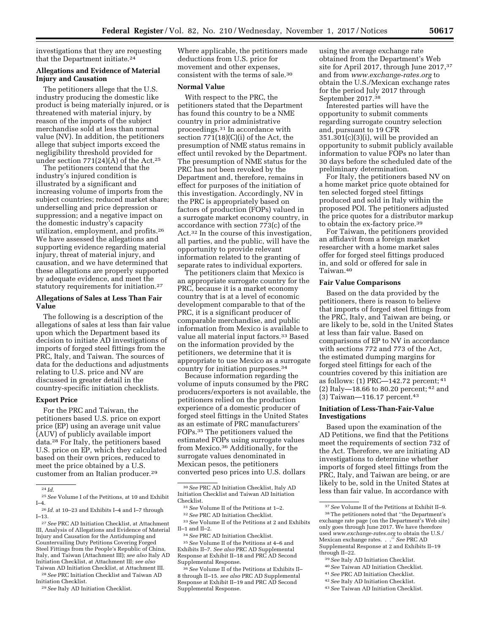investigations that they are requesting that the Department initiate.<sup>24</sup>

## **Allegations and Evidence of Material Injury and Causation**

The petitioners allege that the U.S. industry producing the domestic like product is being materially injured, or is threatened with material injury, by reason of the imports of the subject merchandise sold at less than normal value (NV). In addition, the petitioners allege that subject imports exceed the negligibility threshold provided for under section  $771(24)(A)$  of the Act.<sup>25</sup>

The petitioners contend that the industry's injured condition is illustrated by a significant and increasing volume of imports from the subject countries; reduced market share; underselling and price depression or suppression; and a negative impact on the domestic industry's capacity utilization, employment, and profits.26 We have assessed the allegations and supporting evidence regarding material injury, threat of material injury, and causation, and we have determined that these allegations are properly supported by adequate evidence, and meet the statutory requirements for initiation.<sup>27</sup>

## **Allegations of Sales at Less Than Fair Value**

The following is a description of the allegations of sales at less than fair value upon which the Department based its decision to initiate AD investigations of imports of forged steel fittings from the PRC, Italy, and Taiwan. The sources of data for the deductions and adjustments relating to U.S. price and NV are discussed in greater detail in the country-specific initiation checklists.

### **Export Price**

For the PRC and Taiwan, the petitioners based U.S. price on export price (EP) using an average unit value (AUV) of publicly available import data.28 For Italy, the petitioners based U.S. price on EP, which they calculated based on their own prices, reduced to meet the price obtained by a U.S. customer from an Italian producer.29

27*See* PRC AD Initiation Checklist, at Attachment III, Analysis of Allegations and Evidence of Material Injury and Causation for the Antidumping and Countervailing Duty Petitions Covering Forged Steel Fittings from the People's Republic of China, Italy, and Taiwan (Attachment III); *see also* Italy AD Initiation Checklist, at Attachment III; *see also*  Taiwan AD Initiation Checklist, at Attachment III.

28*See* PRC Initiation Checklist and Taiwan AD Initiation Checklist.

29*See* Italy AD Initiation Checklist.

Where applicable, the petitioners made deductions from U.S. price for movement and other expenses, consistent with the terms of sale.30

#### **Normal Value**

With respect to the PRC, the petitioners stated that the Department has found this country to be a NME country in prior administrative proceedings.31 In accordance with section 771(18)(C)(i) of the Act, the presumption of NME status remains in effect until revoked by the Department. The presumption of NME status for the PRC has not been revoked by the Department and, therefore, remains in effect for purposes of the initiation of this investigation. Accordingly, NV in the PRC is appropriately based on factors of production (FOPs) valued in a surrogate market economy country, in accordance with section 773(c) of the Act.32 In the course of this investigation, all parties, and the public, will have the opportunity to provide relevant information related to the granting of separate rates to individual exporters.

The petitioners claim that Mexico is an appropriate surrogate country for the PRC, because it is a market economy country that is at a level of economic development comparable to that of the PRC, it is a significant producer of comparable merchandise, and public information from Mexico is available to value all material input factors.33 Based on the information provided by the petitioners, we determine that it is appropriate to use Mexico as a surrogate country for initiation purposes.34

Because information regarding the volume of inputs consumed by the PRC producers/exporters is not available, the petitioners relied on the production experience of a domestic producer of forged steel fittings in the United States as an estimate of PRC manufacturers' FOPs.35 The petitioners valued the estimated FOPs using surrogate values from Mexico.36 Additionally, for the surrogate values denominated in Mexican pesos, the petitioners converted peso prices into U.S. dollars

33*See* Volume II of the Petitions at 2 and Exhibits II–1 and II–2.

34*See* PRC AD Initiation Checklist.

35*See* Volume II of the Petitions at 4–6 and Exhibits II–7. *See also* PRC AD Supplemental Response at Exhibit II–18 and PRC AD Second Supplemental Response.

36*See* Volume II of the Petitions at Exhibits II– 8 through II–15. *see also* PRC AD Supplemental Response at Exhibit II–19 and PRC AD Second Supplemental Response.

using the average exchange rate obtained from the Department's Web site for April 2017, through June 2017,37 and from *[www.exchange-rates.org](http://www.exchange-rates.org)* to obtain the U.S./Mexican exchange rates for the period July 2017 through September 2017.38

Interested parties will have the opportunity to submit comments regarding surrogate country selection and, pursuant to 19 CFR 351.301(c)(3)(i), will be provided an opportunity to submit publicly available information to value FOPs no later than 30 days before the scheduled date of the preliminary determination.

For Italy, the petitioners based NV on a home market price quote obtained for ten selected forged steel fittings produced and sold in Italy within the proposed POI. The petitioners adjusted the price quotes for a distributor markup to obtain the ex-factory price.39

For Taiwan, the petitioners provided an affidavit from a foreign market researcher with a home market sales offer for forged steel fittings produced in, and sold or offered for sale in Taiwan.40

### **Fair Value Comparisons**

Based on the data provided by the petitioners, there is reason to believe that imports of forged steel fittings from the PRC, Italy, and Taiwan are being, or are likely to be, sold in the United States at less than fair value. Based on comparisons of EP to NV in accordance with sections 772 and 773 of the Act, the estimated dumping margins for forged steel fittings for each of the countries covered by this initiation are as follows: (1) PRC—142.72 percent; 41 (2) Italy—18.66 to 80.20 percent; 42 and (3) Taiwan—116.17 percent.43

## **Initiation of Less-Than-Fair-Value Investigations**

Based upon the examination of the AD Petitions, we find that the Petitions meet the requirements of section 732 of the Act. Therefore, we are initiating AD investigations to determine whether imports of forged steel fittings from the PRC, Italy, and Taiwan are being, or are likely to be, sold in the United States at less than fair value. In accordance with

- 39*See* Italy AD Initiation Checklist.
- 40*See* Taiwan AD Initiation Checklist.
- 41*See* PRC AD Initiation Checklist.
- 42*See* Italy AD Initiation Checklist.
- 43*See* Taiwan AD Initiation Checklist.

<sup>24</sup> *Id.* 

<sup>25</sup>*See* Volume I of the Petitions, at 10 and Exhibit I–4.

<sup>26</sup> *Id.* at 10–23 and Exhibits I–4 and I–7 through I–13.

<sup>30</sup>*See* PRC AD Initiation Checklist, Italy AD Initiation Checklist and Taiwan AD Initiation Checklist.

<sup>31</sup>*See* Volume II of the Petitions at 1–2.

<sup>32</sup>*See* PRC AD Initiation Checklist.

<sup>37</sup>*See* Volume II of the Petitions at Exhibit II–9. 38The petitioners noted that ''the Department's exchange rate page {on the Department's Web site} only goes through June 2017. We have therefore used *[www.exchange-rates.org](http://www.exchange-rates.org)* to obtain the U.S./ Mexican exchange rates. . .'' *See* PRC AD Supplemental Response at 2 and Exhibits II–19 through II–22.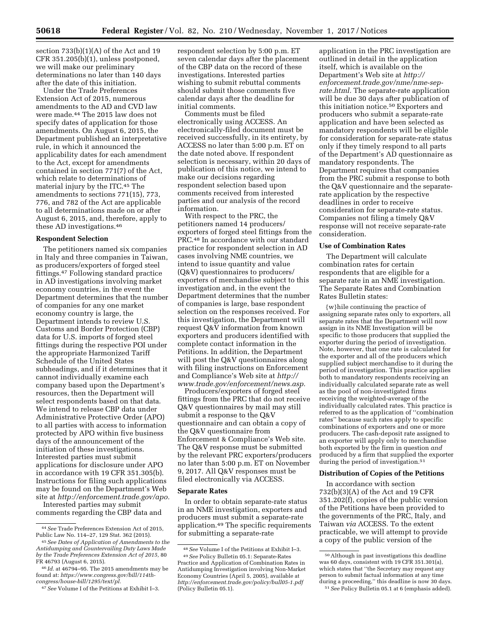section  $733(b)(1)(A)$  of the Act and 19 CFR 351.205(b)(1), unless postponed, we will make our preliminary determinations no later than 140 days after the date of this initiation.

Under the Trade Preferences Extension Act of 2015, numerous amendments to the AD and CVD law were made.44 The 2015 law does not specify dates of application for those amendments. On August 6, 2015, the Department published an interpretative rule, in which it announced the applicability dates for each amendment to the Act, except for amendments contained in section 771(7) of the Act, which relate to determinations of material injury by the ITC.45 The amendments to sections 771(15), 773, 776, and 782 of the Act are applicable to all determinations made on or after August 6, 2015, and, therefore, apply to these AD investigations.46

### **Respondent Selection**

The petitioners named six companies in Italy and three companies in Taiwan, as producers/exporters of forged steel fittings.47 Following standard practice in AD investigations involving market economy countries, in the event the Department determines that the number of companies for any one market economy country is large, the Department intends to review U.S. Customs and Border Protection (CBP) data for U.S. imports of forged steel fittings during the respective POI under the appropriate Harmonized Tariff Schedule of the United States subheadings, and if it determines that it cannot individually examine each company based upon the Department's resources, then the Department will select respondents based on that data. We intend to release CBP data under Administrative Protective Order (APO) to all parties with access to information protected by APO within five business days of the announcement of the initiation of these investigations. Interested parties must submit applications for disclosure under APO in accordance with 19 CFR 351.305(b). Instructions for filing such applications may be found on the Department's Web site at *[http://enforcement.trade.gov/apo.](http://enforcement.trade.gov/apo)* 

Interested parties may submit comments regarding the CBP data and respondent selection by 5:00 p.m. ET seven calendar days after the placement of the CBP data on the record of these investigations. Interested parties wishing to submit rebuttal comments should submit those comments five calendar days after the deadline for initial comments.

Comments must be filed electronically using ACCESS. An electronically-filed document must be received successfully, in its entirety, by ACCESS no later than 5:00 p.m. ET on the date noted above. If respondent selection is necessary, within 20 days of publication of this notice, we intend to make our decisions regarding respondent selection based upon comments received from interested parties and our analysis of the record information.

With respect to the PRC, the petitioners named 14 producers/ exporters of forged steel fittings from the PRC.48 In accordance with our standard practice for respondent selection in AD cases involving NME countries, we intend to issue quantity and value (Q&V) questionnaires to producers/ exporters of merchandise subject to this investigation and, in the event the Department determines that the number of companies is large, base respondent selection on the responses received. For this investigation, the Department will request Q&V information from known exporters and producers identified with complete contact information in the Petitions. In addition, the Department will post the Q&V questionnaires along with filing instructions on Enforcement and Compliance's Web site at *[http://](http://www.trade.gov/enforcement/news.asp) [www.trade.gov/enforcement/news.asp.](http://www.trade.gov/enforcement/news.asp)* 

Producers/exporters of forged steel fittings from the PRC that do not receive Q&V questionnaires by mail may still submit a response to the Q&V questionnaire and can obtain a copy of the Q&V questionnaire from Enforcement & Compliance's Web site. The Q&V response must be submitted by the relevant PRC exporters/producers no later than 5:00 p.m. ET on November 9, 2017. All Q&V responses must be filed electronically via ACCESS.

#### **Separate Rates**

In order to obtain separate-rate status in an NME investigation, exporters and producers must submit a separate-rate application.49 The specific requirements for submitting a separate-rate

application in the PRC investigation are outlined in detail in the application itself, which is available on the Department's Web site at *[http://](http://enforcement.trade.gov/nme/nme-sep-rate.html) [enforcement.trade.gov/nme/nme-sep](http://enforcement.trade.gov/nme/nme-sep-rate.html)[rate.html.](http://enforcement.trade.gov/nme/nme-sep-rate.html)* The separate-rate application will be due 30 days after publication of this initiation notice.50 Exporters and producers who submit a separate-rate application and have been selected as mandatory respondents will be eligible for consideration for separate-rate status only if they timely respond to all parts of the Department's AD questionnaire as mandatory respondents. The Department requires that companies from the PRC submit a response to both the Q&V questionnaire and the separaterate application by the respective deadlines in order to receive consideration for separate-rate status. Companies not filing a timely Q&V response will not receive separate-rate consideration.

#### **Use of Combination Rates**

The Department will calculate combination rates for certain respondents that are eligible for a separate rate in an NME investigation. The Separate Rates and Combination Rates Bulletin states:

{w}hile continuing the practice of assigning separate rates only to exporters, all separate rates that the Department will now assign in its NME Investigation will be specific to those producers that supplied the exporter during the period of investigation. Note, however, that one rate is calculated for the exporter and all of the producers which supplied subject merchandise to it during the period of investigation. This practice applies both to mandatory respondents receiving an individually calculated separate rate as well as the pool of non-investigated firms receiving the weighted-average of the individually calculated rates. This practice is referred to as the application of ''combination rates'' because such rates apply to specific combinations of exporters and one or more producers. The cash-deposit rate assigned to an exporter will apply only to merchandise both exported by the firm in question *and*  produced by a firm that supplied the exporter during the period of investigation.<sup>51</sup>

#### **Distribution of Copies of the Petitions**

In accordance with section 732(b)(3)(A) of the Act and 19 CFR 351.202(f), copies of the public version of the Petitions have been provided to the governments of the PRC, Italy, and Taiwan *via* ACCESS. To the extent practicable, we will attempt to provide a copy of the public version of the

<sup>44</sup>*See* Trade Preferences Extension Act of 2015, Public Law No. 114–27, 129 Stat. 362 (2015).

<sup>45</sup>*See Dates of Application of Amendments to the Antidumping and Countervailing Duty Laws Made by the Trade Preferences Extension Act of 2015,* 80 FR 46793 (August 6, 2015).

<sup>46</sup> *Id.* at 46794–95. The 2015 amendments may be found at: *[https://www.congress.gov/bill/114th](https://www.congress.gov/bill/114th-congress/house-bill/1295/text/pl)[congress/house-bill/1295/text/pl.](https://www.congress.gov/bill/114th-congress/house-bill/1295/text/pl)* 

<sup>47</sup>*See* Volume I of the Petitions at Exhibit I–3.

<sup>48</sup>*See* Volume I of the Petitions at Exhibit I–3.

<sup>49</sup>*See* Policy Bulletin 05.1: Separate-Rates Practice and Application of Combination Rates in Antidumping Investigation involving Non-Market Economy Countries (April 5, 2005), available at *<http://enforcement.trade.gov/policy/bull05-1.pdf>* (Policy Bulletin 05.1).

 $^{\rm 50}\,$  Although in past investigations this deadline was 60 days, consistent with 19 CFR 351.301(a), which states that ''the Secretary may request any person to submit factual information at any time during a proceeding,'' this deadline is now 30 days. 51*See* Policy Bulletin 05.1 at 6 (emphasis added).